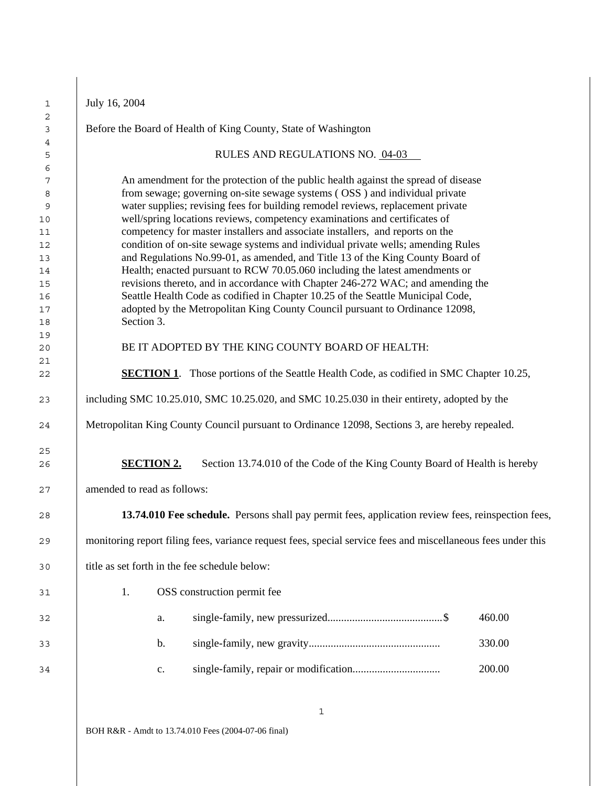| July 16, 2004                                                                                                                                                                                                                                                                                                                                                                                                                                                                                                                                                                                                                                                                                                                                                                                                                                                                                                                                |
|----------------------------------------------------------------------------------------------------------------------------------------------------------------------------------------------------------------------------------------------------------------------------------------------------------------------------------------------------------------------------------------------------------------------------------------------------------------------------------------------------------------------------------------------------------------------------------------------------------------------------------------------------------------------------------------------------------------------------------------------------------------------------------------------------------------------------------------------------------------------------------------------------------------------------------------------|
| Before the Board of Health of King County, State of Washington                                                                                                                                                                                                                                                                                                                                                                                                                                                                                                                                                                                                                                                                                                                                                                                                                                                                               |
| RULES AND REGULATIONS NO. 04-03                                                                                                                                                                                                                                                                                                                                                                                                                                                                                                                                                                                                                                                                                                                                                                                                                                                                                                              |
| An amendment for the protection of the public health against the spread of disease<br>from sewage; governing on-site sewage systems (OSS) and individual private<br>water supplies; revising fees for building remodel reviews, replacement private<br>well/spring locations reviews, competency examinations and certificates of<br>competency for master installers and associate installers, and reports on the<br>condition of on-site sewage systems and individual private wells; amending Rules<br>and Regulations No.99-01, as amended, and Title 13 of the King County Board of<br>Health; enacted pursuant to RCW 70.05.060 including the latest amendments or<br>revisions thereto, and in accordance with Chapter 246-272 WAC; and amending the<br>Seattle Health Code as codified in Chapter 10.25 of the Seattle Municipal Code,<br>adopted by the Metropolitan King County Council pursuant to Ordinance 12098,<br>Section 3. |
| BE IT ADOPTED BY THE KING COUNTY BOARD OF HEALTH:                                                                                                                                                                                                                                                                                                                                                                                                                                                                                                                                                                                                                                                                                                                                                                                                                                                                                            |
| <b>SECTION 1.</b> Those portions of the Seattle Health Code, as codified in SMC Chapter 10.25,                                                                                                                                                                                                                                                                                                                                                                                                                                                                                                                                                                                                                                                                                                                                                                                                                                               |
| including SMC 10.25.010, SMC 10.25.020, and SMC 10.25.030 in their entirety, adopted by the                                                                                                                                                                                                                                                                                                                                                                                                                                                                                                                                                                                                                                                                                                                                                                                                                                                  |
| Metropolitan King County Council pursuant to Ordinance 12098, Sections 3, are hereby repealed.                                                                                                                                                                                                                                                                                                                                                                                                                                                                                                                                                                                                                                                                                                                                                                                                                                               |
| <b>SECTION 2.</b><br>Section 13.74.010 of the Code of the King County Board of Health is hereby<br>amended to read as follows:                                                                                                                                                                                                                                                                                                                                                                                                                                                                                                                                                                                                                                                                                                                                                                                                               |
| 13.74.010 Fee schedule. Persons shall pay permit fees, application review fees, reinspection fees,                                                                                                                                                                                                                                                                                                                                                                                                                                                                                                                                                                                                                                                                                                                                                                                                                                           |
| monitoring report filing fees, variance request fees, special service fees and miscellaneous fees under this                                                                                                                                                                                                                                                                                                                                                                                                                                                                                                                                                                                                                                                                                                                                                                                                                                 |
| title as set forth in the fee schedule below:                                                                                                                                                                                                                                                                                                                                                                                                                                                                                                                                                                                                                                                                                                                                                                                                                                                                                                |
|                                                                                                                                                                                                                                                                                                                                                                                                                                                                                                                                                                                                                                                                                                                                                                                                                                                                                                                                              |
| OSS construction permit fee<br>1.                                                                                                                                                                                                                                                                                                                                                                                                                                                                                                                                                                                                                                                                                                                                                                                                                                                                                                            |
| 460.00<br>a.                                                                                                                                                                                                                                                                                                                                                                                                                                                                                                                                                                                                                                                                                                                                                                                                                                                                                                                                 |
| 330.00<br>b.                                                                                                                                                                                                                                                                                                                                                                                                                                                                                                                                                                                                                                                                                                                                                                                                                                                                                                                                 |
| 200.00<br>$\mathbf{c}.$                                                                                                                                                                                                                                                                                                                                                                                                                                                                                                                                                                                                                                                                                                                                                                                                                                                                                                                      |
|                                                                                                                                                                                                                                                                                                                                                                                                                                                                                                                                                                                                                                                                                                                                                                                                                                                                                                                                              |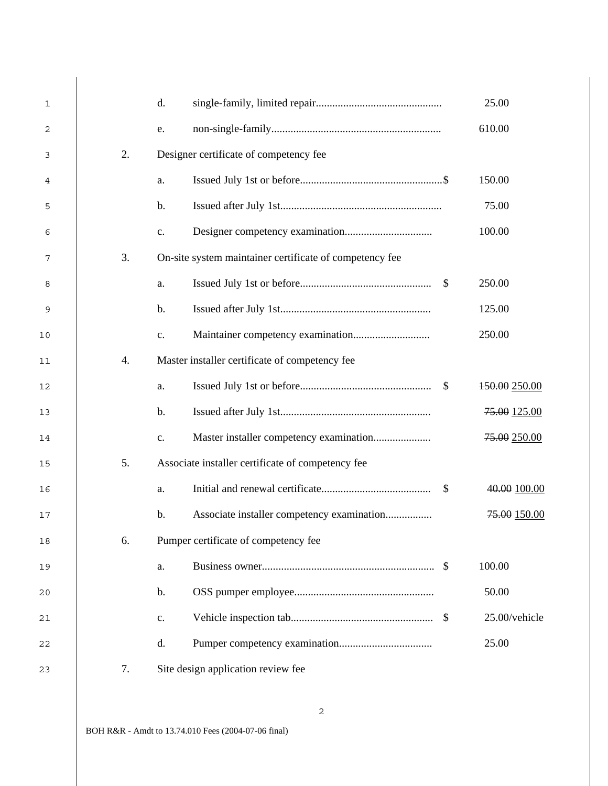| $\mathbf{1}$ |    | d.             |                                                         |               | 25.00         |
|--------------|----|----------------|---------------------------------------------------------|---------------|---------------|
| 2            |    | e.             |                                                         |               | 610.00        |
| 3            | 2. |                | Designer certificate of competency fee                  |               |               |
| 4            |    | a.             |                                                         |               | 150.00        |
| 5            |    | $\mathbf b$ .  |                                                         |               | 75.00         |
| 6            |    | $\mathbf{c}$ . |                                                         |               | 100.00        |
| 7            | 3. |                | On-site system maintainer certificate of competency fee |               |               |
| 8            |    | a.             |                                                         | <sup>\$</sup> | 250.00        |
| 9            |    | $\mathbf b$ .  |                                                         |               | 125.00        |
| 10           |    | $\mathbf{c}$ . |                                                         |               | 250.00        |
| 11           | 4. |                | Master installer certificate of competency fee          |               |               |
| 12           |    | a.             |                                                         | $\mathcal{S}$ | 150.00 250.00 |
| 13           |    | b.             |                                                         |               | 75.00 125.00  |
| 14           |    | $\mathbf{c}$ . |                                                         |               | 75.00 250.00  |
| 15           | 5. |                | Associate installer certificate of competency fee       |               |               |
| 16           |    | a.             |                                                         | \$            | 40.00 100.00  |
| 17           |    | $\mathbf b$ .  | Associate installer competency examination              |               | 75.00 150.00  |
| 18           | 6. |                | Pumper certificate of competency fee                    |               |               |
| 19           |    | a.             |                                                         | $\mathcal{S}$ | 100.00        |
| 20           |    | $\mathbf b$ .  |                                                         |               | 50.00         |
| 21           |    | c.             |                                                         |               | 25.00/vehicle |
| 22           |    | d.             |                                                         |               | 25.00         |
| 23           | 7. |                | Site design application review fee                      |               |               |

BOH R&R - Amdt to 13.74.010 Fees (2004-07-06 final)

 $\overline{\phantom{a}}$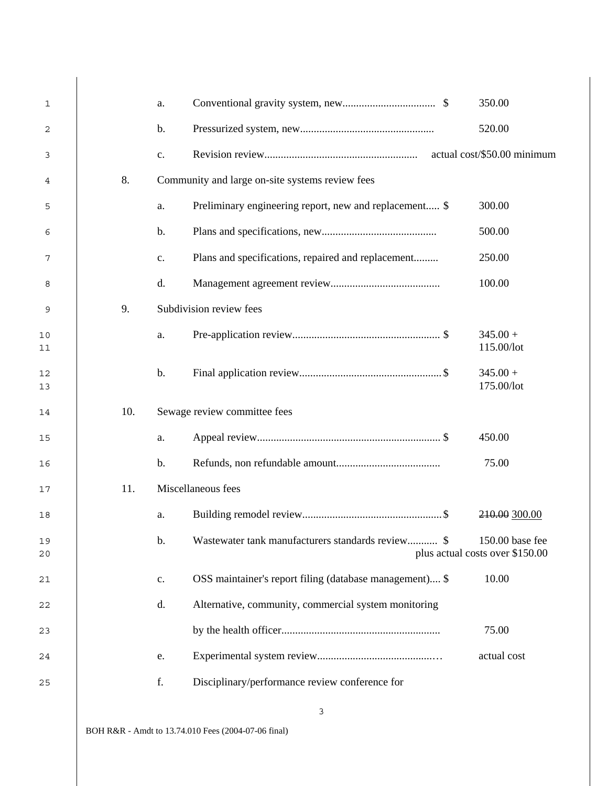| $\mathbf{1}$ |     | a.            |                                                         | 350.00                                             |
|--------------|-----|---------------|---------------------------------------------------------|----------------------------------------------------|
| $\mathbf{2}$ |     | $\mathbf b$ . |                                                         | 520.00                                             |
| 3            |     | c.            |                                                         | actual cost/\$50.00 minimum                        |
| 4            | 8.  |               | Community and large on-site systems review fees         |                                                    |
| 5            |     | a.            | Preliminary engineering report, new and replacement \$  | 300.00                                             |
| 6            |     | $\mathbf b$ . |                                                         | 500.00                                             |
| 7            |     | c.            | Plans and specifications, repaired and replacement      | 250.00                                             |
| 8            |     | d.            |                                                         | 100.00                                             |
| 9            | 9.  |               | Subdivision review fees                                 |                                                    |
| 10<br>11     |     | a.            |                                                         | $345.00 +$<br>115.00/lot                           |
| 12<br>13     |     | $b$ .         |                                                         | $345.00 +$<br>175.00/lot                           |
| 14           | 10. |               | Sewage review committee fees                            |                                                    |
| 15           |     | a.            |                                                         | 450.00                                             |
| 16           |     | $b$ .         |                                                         | 75.00                                              |
| 17           | 11. |               | Miscellaneous fees                                      |                                                    |
| 18           |     | a.            |                                                         | 210.00 300.00                                      |
| 19<br>20     |     | $\mathbf b$ . | Wastewater tank manufacturers standards review \$       | 150.00 base fee<br>plus actual costs over \$150.00 |
| 21           |     | c.            | OSS maintainer's report filing (database management) \$ | 10.00                                              |
| 22           |     | d.            | Alternative, community, commercial system monitoring    |                                                    |
| 23           |     |               |                                                         | 75.00                                              |
| 24           |     | e.            |                                                         | actual cost                                        |
|              |     |               |                                                         |                                                    |

 $\overline{\phantom{a}}$